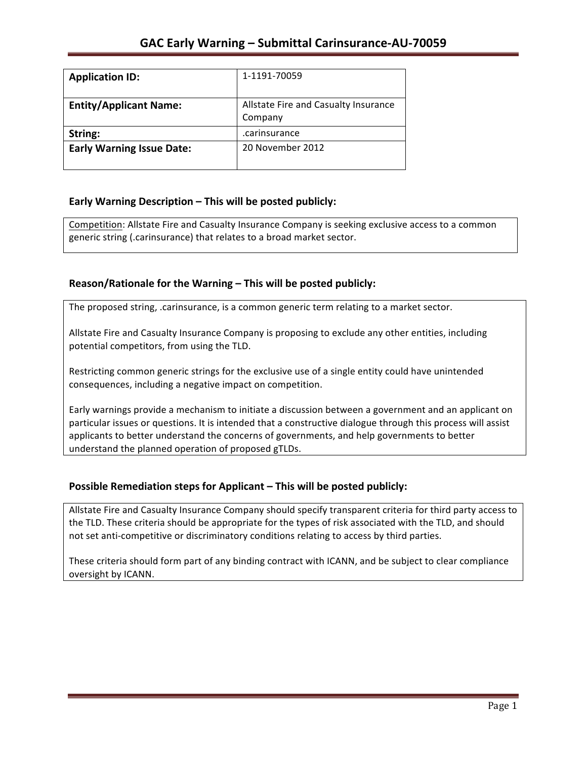| <b>Application ID:</b>           | 1-1191-70059                         |
|----------------------------------|--------------------------------------|
|                                  |                                      |
| <b>Entity/Applicant Name:</b>    | Allstate Fire and Casualty Insurance |
|                                  | Company                              |
| String:                          | .carinsurance                        |
| <b>Early Warning Issue Date:</b> | 20 November 2012                     |
|                                  |                                      |

## **Early Warning Description – This will be posted publicly:**

Competition: Allstate Fire and Casualty Insurance Company is seeking exclusive access to a common generic string (.carinsurance) that relates to a broad market sector.

## Reason/Rationale for the Warning – This will be posted publicly:

The proposed string, .carinsurance, is a common generic term relating to a market sector.

Allstate Fire and Casualty Insurance Company is proposing to exclude any other entities, including potential competitors, from using the TLD.

Restricting common generic strings for the exclusive use of a single entity could have unintended consequences, including a negative impact on competition.

Early warnings provide a mechanism to initiate a discussion between a government and an applicant on particular issues or questions. It is intended that a constructive dialogue through this process will assist applicants to better understand the concerns of governments, and help governments to better understand the planned operation of proposed gTLDs.

### **Possible Remediation steps for Applicant – This will be posted publicly:**

Allstate Fire and Casualty Insurance Company should specify transparent criteria for third party access to the TLD. These criteria should be appropriate for the types of risk associated with the TLD, and should not set anti-competitive or discriminatory conditions relating to access by third parties.

These criteria should form part of any binding contract with ICANN, and be subject to clear compliance oversight by ICANN.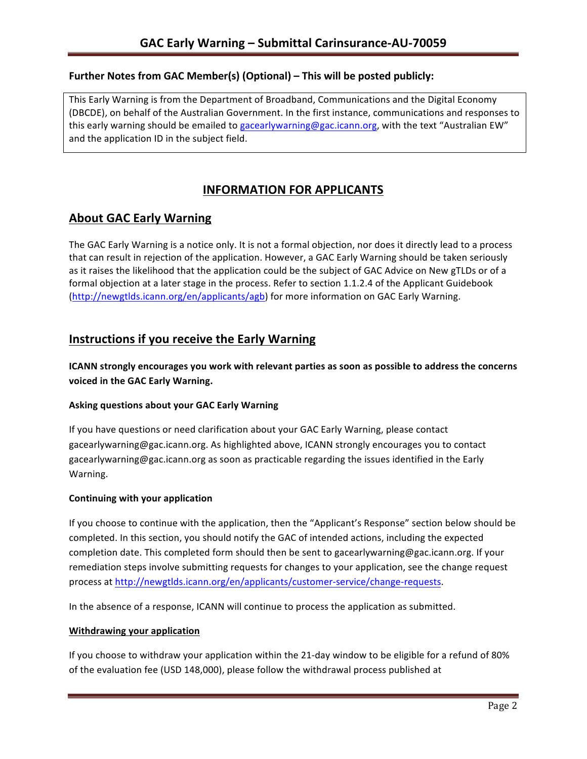## **Further Notes from GAC Member(s) (Optional) – This will be posted publicly:**

This Early Warning is from the Department of Broadband, Communications and the Digital Economy (DBCDE), on behalf of the Australian Government. In the first instance, communications and responses to this early warning should be emailed to gacearlywarning@gac.icann.org, with the text "Australian EW" and the application ID in the subject field.

# **INFORMATION FOR APPLICANTS**

## **About GAC Early Warning**

The GAC Early Warning is a notice only. It is not a formal objection, nor does it directly lead to a process that can result in rejection of the application. However, a GAC Early Warning should be taken seriously as it raises the likelihood that the application could be the subject of GAC Advice on New gTLDs or of a formal objection at a later stage in the process. Refer to section 1.1.2.4 of the Applicant Guidebook (http://newgtlds.icann.org/en/applicants/agb) for more information on GAC Early Warning.

## **Instructions if you receive the Early Warning**

**ICANN** strongly encourages you work with relevant parties as soon as possible to address the concerns **voiced in the GAC Early Warning.** 

### **Asking questions about your GAC Early Warning**

If you have questions or need clarification about your GAC Early Warning, please contact gacearlywarning@gac.icann.org. As highlighted above, ICANN strongly encourages you to contact gacearlywarning@gac.icann.org as soon as practicable regarding the issues identified in the Early Warning. 

### **Continuing with your application**

If you choose to continue with the application, then the "Applicant's Response" section below should be completed. In this section, you should notify the GAC of intended actions, including the expected completion date. This completed form should then be sent to gacearlywarning@gac.icann.org. If your remediation steps involve submitting requests for changes to your application, see the change request process at http://newgtlds.icann.org/en/applicants/customer-service/change-requests.

In the absence of a response, ICANN will continue to process the application as submitted.

### **Withdrawing your application**

If you choose to withdraw your application within the 21-day window to be eligible for a refund of 80% of the evaluation fee (USD 148,000), please follow the withdrawal process published at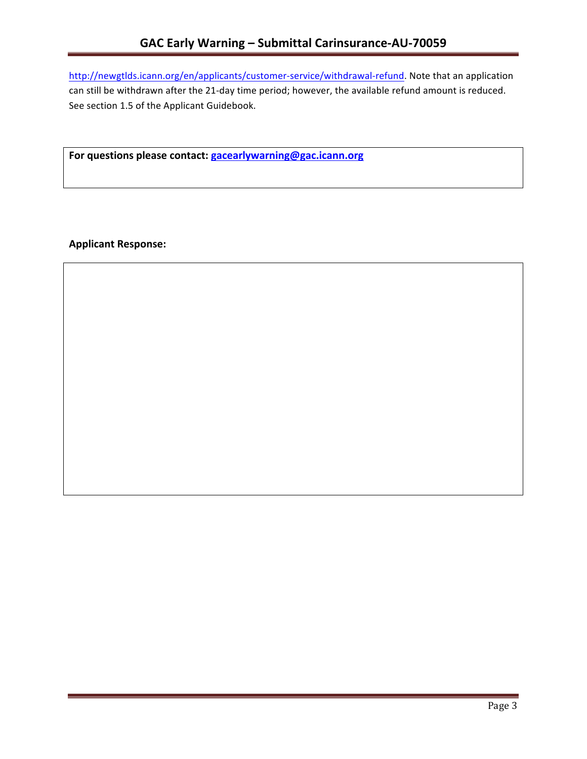http://newgtlds.icann.org/en/applicants/customer-service/withdrawal-refund. Note that an application can still be withdrawn after the 21-day time period; however, the available refund amount is reduced. See section 1.5 of the Applicant Guidebook.

For questions please contact: gacearlywarning@gac.icann.org

**Applicant Response:**